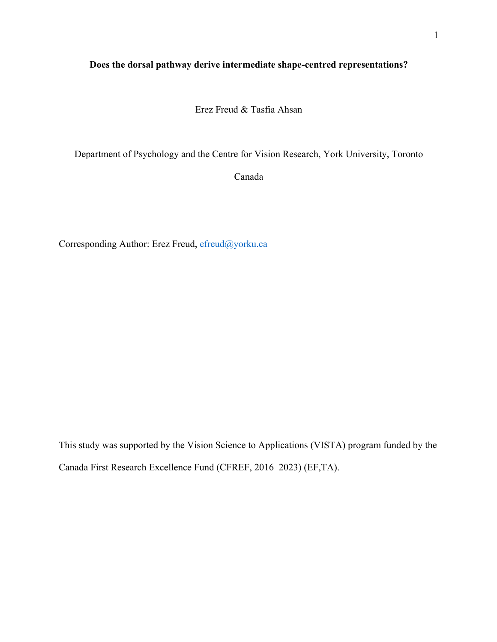## **Does the dorsal pathway derive intermediate shape-centred representations?**

Erez Freud & Tasfia Ahsan

Department of Psychology and the Centre for Vision Research, York University, Toronto

Canada

Corresponding Author: Erez Freud, efreud@yorku.ca

This study was supported by the Vision Science to Applications (VISTA) program funded by the Canada First Research Excellence Fund (CFREF, 2016–2023) (EF,TA).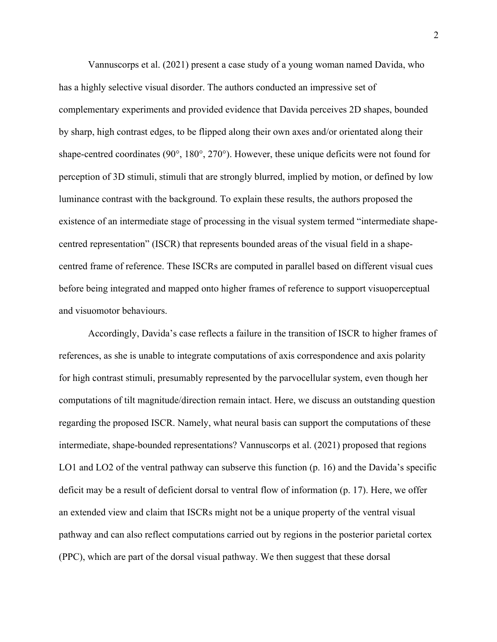Vannuscorps et al. (2021) present a case study of a young woman named Davida, who has a highly selective visual disorder. The authors conducted an impressive set of complementary experiments and provided evidence that Davida perceives 2D shapes, bounded by sharp, high contrast edges, to be flipped along their own axes and/or orientated along their shape-centred coordinates (90°, 180°, 270°). However, these unique deficits were not found for perception of 3D stimuli, stimuli that are strongly blurred, implied by motion, or defined by low luminance contrast with the background. To explain these results, the authors proposed the existence of an intermediate stage of processing in the visual system termed "intermediate shapecentred representation" (ISCR) that represents bounded areas of the visual field in a shapecentred frame of reference. These ISCRs are computed in parallel based on different visual cues before being integrated and mapped onto higher frames of reference to support visuoperceptual and visuomotor behaviours.

Accordingly, Davida's case reflects a failure in the transition of ISCR to higher frames of references, as she is unable to integrate computations of axis correspondence and axis polarity for high contrast stimuli, presumably represented by the parvocellular system, even though her computations of tilt magnitude/direction remain intact. Here, we discuss an outstanding question regarding the proposed ISCR. Namely, what neural basis can support the computations of these intermediate, shape-bounded representations? Vannuscorps et al. (2021) proposed that regions LO1 and LO2 of the ventral pathway can subserve this function (p. 16) and the Davida's specific deficit may be a result of deficient dorsal to ventral flow of information (p. 17). Here, we offer an extended view and claim that ISCRs might not be a unique property of the ventral visual pathway and can also reflect computations carried out by regions in the posterior parietal cortex (PPC), which are part of the dorsal visual pathway. We then suggest that these dorsal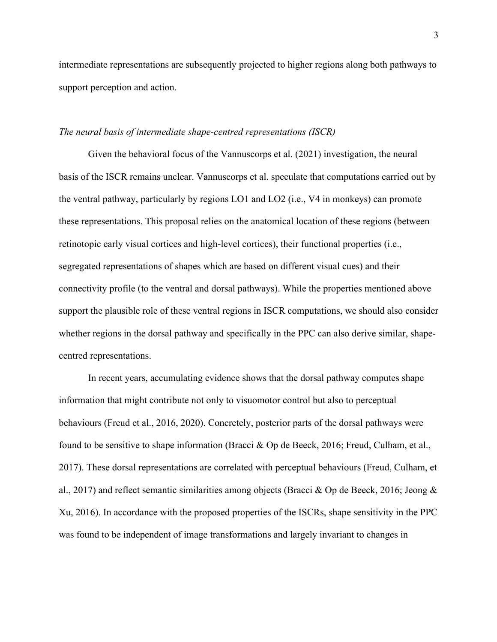intermediate representations are subsequently projected to higher regions along both pathways to support perception and action.

## *The neural basis of intermediate shape-centred representations (ISCR)*

Given the behavioral focus of the Vannuscorps et al. (2021) investigation, the neural basis of the ISCR remains unclear. Vannuscorps et al. speculate that computations carried out by the ventral pathway, particularly by regions LO1 and LO2 (i.e., V4 in monkeys) can promote these representations. This proposal relies on the anatomical location of these regions (between retinotopic early visual cortices and high-level cortices), their functional properties (i.e., segregated representations of shapes which are based on different visual cues) and their connectivity profile (to the ventral and dorsal pathways). While the properties mentioned above support the plausible role of these ventral regions in ISCR computations, we should also consider whether regions in the dorsal pathway and specifically in the PPC can also derive similar, shapecentred representations.

In recent years, accumulating evidence shows that the dorsal pathway computes shape information that might contribute not only to visuomotor control but also to perceptual behaviours (Freud et al., 2016, 2020). Concretely, posterior parts of the dorsal pathways were found to be sensitive to shape information (Bracci & Op de Beeck, 2016; Freud, Culham, et al., 2017). These dorsal representations are correlated with perceptual behaviours (Freud, Culham, et al., 2017) and reflect semantic similarities among objects (Bracci & Op de Beeck, 2016; Jeong & Xu, 2016). In accordance with the proposed properties of the ISCRs, shape sensitivity in the PPC was found to be independent of image transformations and largely invariant to changes in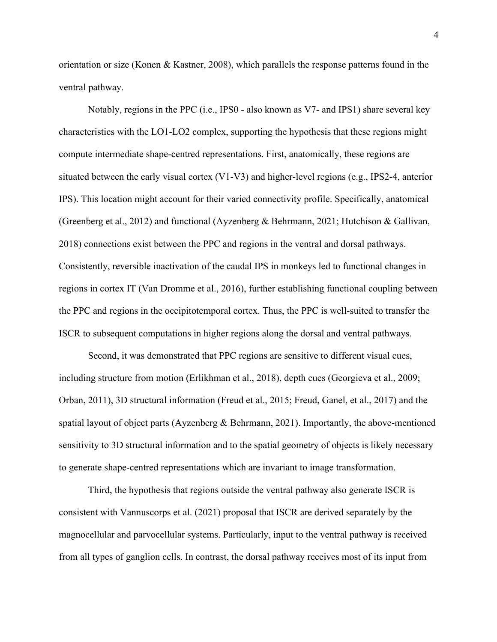orientation or size (Konen & Kastner, 2008), which parallels the response patterns found in the ventral pathway.

Notably, regions in the PPC (i.e., IPS0 - also known as V7- and IPS1) share several key characteristics with the LO1-LO2 complex, supporting the hypothesis that these regions might compute intermediate shape-centred representations. First, anatomically, these regions are situated between the early visual cortex (V1-V3) and higher-level regions (e.g., IPS2-4, anterior IPS). This location might account for their varied connectivity profile. Specifically, anatomical (Greenberg et al., 2012) and functional (Ayzenberg & Behrmann, 2021; Hutchison & Gallivan, 2018) connections exist between the PPC and regions in the ventral and dorsal pathways. Consistently, reversible inactivation of the caudal IPS in monkeys led to functional changes in regions in cortex IT (Van Dromme et al., 2016), further establishing functional coupling between the PPC and regions in the occipitotemporal cortex. Thus, the PPC is well-suited to transfer the ISCR to subsequent computations in higher regions along the dorsal and ventral pathways.

Second, it was demonstrated that PPC regions are sensitive to different visual cues, including structure from motion (Erlikhman et al., 2018), depth cues (Georgieva et al., 2009; Orban, 2011), 3D structural information (Freud et al., 2015; Freud, Ganel, et al., 2017) and the spatial layout of object parts (Ayzenberg  $\&$  Behrmann, 2021). Importantly, the above-mentioned sensitivity to 3D structural information and to the spatial geometry of objects is likely necessary to generate shape-centred representations which are invariant to image transformation.

Third, the hypothesis that regions outside the ventral pathway also generate ISCR is consistent with Vannuscorps et al. (2021) proposal that ISCR are derived separately by the magnocellular and parvocellular systems. Particularly, input to the ventral pathway is received from all types of ganglion cells. In contrast, the dorsal pathway receives most of its input from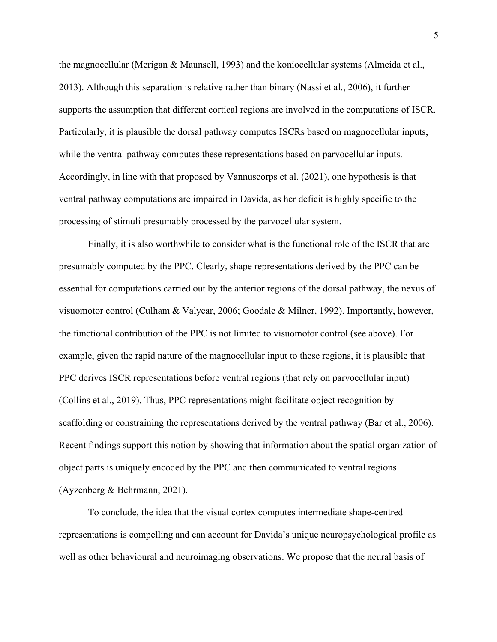the magnocellular (Merigan & Maunsell, 1993) and the koniocellular systems (Almeida et al., 2013). Although this separation is relative rather than binary (Nassi et al., 2006), it further supports the assumption that different cortical regions are involved in the computations of ISCR. Particularly, it is plausible the dorsal pathway computes ISCRs based on magnocellular inputs, while the ventral pathway computes these representations based on parvocellular inputs. Accordingly, in line with that proposed by Vannuscorps et al. (2021), one hypothesis is that ventral pathway computations are impaired in Davida, as her deficit is highly specific to the processing of stimuli presumably processed by the parvocellular system.

Finally, it is also worthwhile to consider what is the functional role of the ISCR that are presumably computed by the PPC. Clearly, shape representations derived by the PPC can be essential for computations carried out by the anterior regions of the dorsal pathway, the nexus of visuomotor control (Culham & Valyear, 2006; Goodale & Milner, 1992). Importantly, however, the functional contribution of the PPC is not limited to visuomotor control (see above). For example, given the rapid nature of the magnocellular input to these regions, it is plausible that PPC derives ISCR representations before ventral regions (that rely on parvocellular input) (Collins et al., 2019). Thus, PPC representations might facilitate object recognition by scaffolding or constraining the representations derived by the ventral pathway (Bar et al., 2006). Recent findings support this notion by showing that information about the spatial organization of object parts is uniquely encoded by the PPC and then communicated to ventral regions (Ayzenberg & Behrmann, 2021).

To conclude, the idea that the visual cortex computes intermediate shape-centred representations is compelling and can account for Davida's unique neuropsychological profile as well as other behavioural and neuroimaging observations. We propose that the neural basis of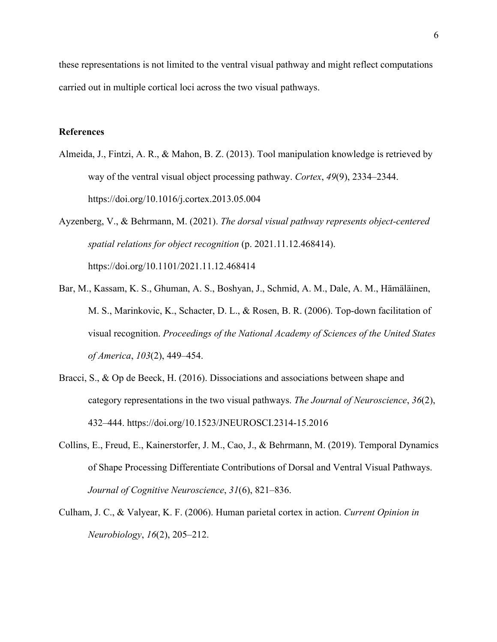these representations is not limited to the ventral visual pathway and might reflect computations carried out in multiple cortical loci across the two visual pathways.

## **References**

- Almeida, J., Fintzi, A. R., & Mahon, B. Z. (2013). Tool manipulation knowledge is retrieved by way of the ventral visual object processing pathway. *Cortex*, *49*(9), 2334–2344. https://doi.org/10.1016/j.cortex.2013.05.004
- Ayzenberg, V., & Behrmann, M. (2021). *The dorsal visual pathway represents object-centered spatial relations for object recognition* (p. 2021.11.12.468414). https://doi.org/10.1101/2021.11.12.468414
- Bar, M., Kassam, K. S., Ghuman, A. S., Boshyan, J., Schmid, A. M., Dale, A. M., Hämäläinen, M. S., Marinkovic, K., Schacter, D. L., & Rosen, B. R. (2006). Top-down facilitation of visual recognition. *Proceedings of the National Academy of Sciences of the United States of America*, *103*(2), 449–454.
- Bracci, S., & Op de Beeck, H. (2016). Dissociations and associations between shape and category representations in the two visual pathways. *The Journal of Neuroscience*, *36*(2), 432–444. https://doi.org/10.1523/JNEUROSCI.2314-15.2016
- Collins, E., Freud, E., Kainerstorfer, J. M., Cao, J., & Behrmann, M. (2019). Temporal Dynamics of Shape Processing Differentiate Contributions of Dorsal and Ventral Visual Pathways. *Journal of Cognitive Neuroscience*, *31*(6), 821–836.
- Culham, J. C., & Valyear, K. F. (2006). Human parietal cortex in action. *Current Opinion in Neurobiology*, *16*(2), 205–212.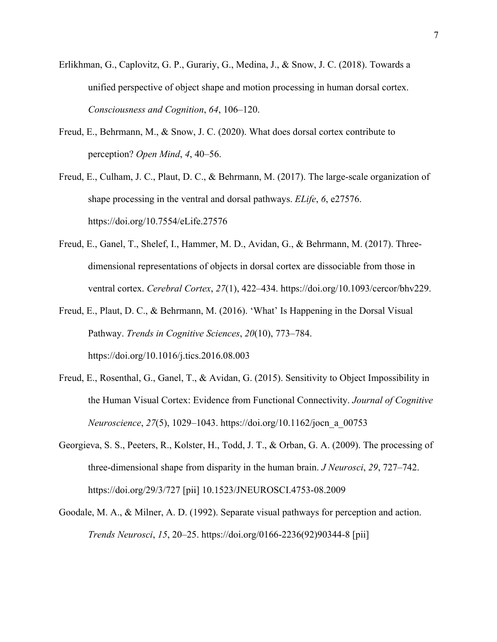- Erlikhman, G., Caplovitz, G. P., Gurariy, G., Medina, J., & Snow, J. C. (2018). Towards a unified perspective of object shape and motion processing in human dorsal cortex. *Consciousness and Cognition*, *64*, 106–120.
- Freud, E., Behrmann, M., & Snow, J. C. (2020). What does dorsal cortex contribute to perception? *Open Mind*, *4*, 40–56.
- Freud, E., Culham, J. C., Plaut, D. C., & Behrmann, M. (2017). The large-scale organization of shape processing in the ventral and dorsal pathways. *ELife*, *6*, e27576. https://doi.org/10.7554/eLife.27576
- Freud, E., Ganel, T., Shelef, I., Hammer, M. D., Avidan, G., & Behrmann, M. (2017). Threedimensional representations of objects in dorsal cortex are dissociable from those in ventral cortex. *Cerebral Cortex*, *27*(1), 422–434. https://doi.org/10.1093/cercor/bhv229.
- Freud, E., Plaut, D. C., & Behrmann, M. (2016). 'What' Is Happening in the Dorsal Visual Pathway. *Trends in Cognitive Sciences*, *20*(10), 773–784. https://doi.org/10.1016/j.tics.2016.08.003
- Freud, E., Rosenthal, G., Ganel, T., & Avidan, G. (2015). Sensitivity to Object Impossibility in the Human Visual Cortex: Evidence from Functional Connectivity. *Journal of Cognitive Neuroscience*, *27*(5), 1029–1043. https://doi.org/10.1162/jocn\_a\_00753
- Georgieva, S. S., Peeters, R., Kolster, H., Todd, J. T., & Orban, G. A. (2009). The processing of three-dimensional shape from disparity in the human brain. *J Neurosci*, *29*, 727–742. https://doi.org/29/3/727 [pii] 10.1523/JNEUROSCI.4753-08.2009
- Goodale, M. A., & Milner, A. D. (1992). Separate visual pathways for perception and action. *Trends Neurosci*, *15*, 20–25. https://doi.org/0166-2236(92)90344-8 [pii]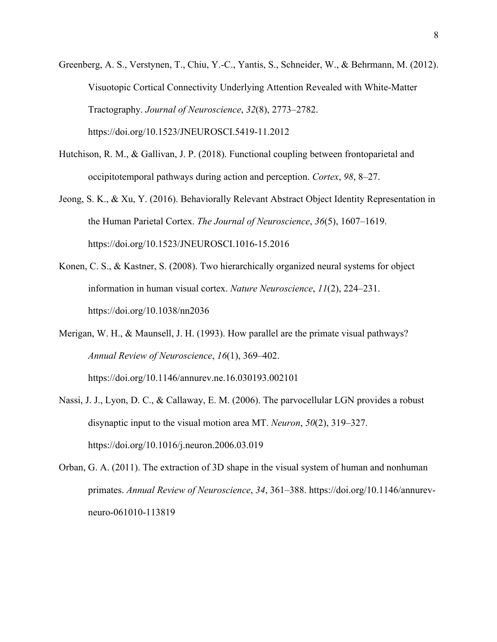Greenberg, A. S., Verstynen, T., Chiu, Y.-C., Yantis, S., Schneider, W., & Behrmann, M. (2012). Visuotopic Cortical Connectivity Underlying Attention Revealed with White-Matter Tractography. *Journal of Neuroscience*, *32*(8), 2773–2782. https://doi.org/10.1523/JNEUROSCI.5419-11.2012

- Hutchison, R. M., & Gallivan, J. P. (2018). Functional coupling between frontoparietal and occipitotemporal pathways during action and perception. *Cortex*, *98*, 8–27.
- Jeong, S. K., & Xu, Y. (2016). Behaviorally Relevant Abstract Object Identity Representation in the Human Parietal Cortex. *The Journal of Neuroscience*, *36*(5), 1607–1619. https://doi.org/10.1523/JNEUROSCI.1016-15.2016
- Konen, C. S., & Kastner, S. (2008). Two hierarchically organized neural systems for object information in human visual cortex. *Nature Neuroscience*, *11*(2), 224–231. https://doi.org/10.1038/nn2036
- Merigan, W. H., & Maunsell, J. H. (1993). How parallel are the primate visual pathways? *Annual Review of Neuroscience*, *16*(1), 369–402. https://doi.org/10.1146/annurev.ne.16.030193.002101
- Nassi, J. J., Lyon, D. C., & Callaway, E. M. (2006). The parvocellular LGN provides a robust disynaptic input to the visual motion area MT. *Neuron*, *50*(2), 319–327. https://doi.org/10.1016/j.neuron.2006.03.019
- Orban, G. A. (2011). The extraction of 3D shape in the visual system of human and nonhuman primates. *Annual Review of Neuroscience*, *34*, 361–388. https://doi.org/10.1146/annurevneuro-061010-113819